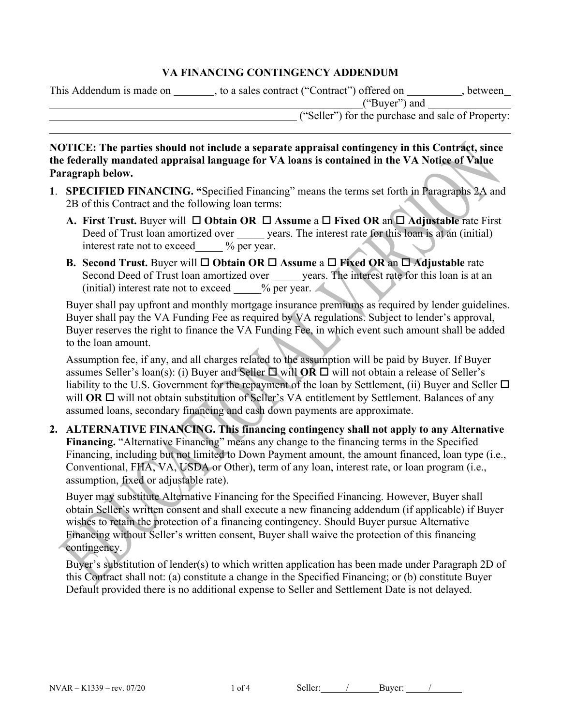#### **VA FINANCING CONTINGENCY ADDENDUM**

| This Addendum is made on | , to a sales contract ("Contract") offered on | between                                           |  |
|--------------------------|-----------------------------------------------|---------------------------------------------------|--|
|                          | ("Buyer") and                                 |                                                   |  |
|                          |                                               | ("Seller") for the purchase and sale of Property: |  |

**NOTICE: The parties should not include a separate appraisal contingency in this Contract, since the federally mandated appraisal language for VA loans is contained in the VA Notice of Value Paragraph below.**

- **1**. **SPECIFIED FINANCING. "**Specified Financing" means the terms set forth in Paragraphs 2A and 2B of this Contract and the following loan terms:
	- **A.** First Trust. Buyer will □ Obtain OR □ Assume a □ Fixed OR an □ Adjustable rate First Deed of Trust loan amortized over years. The interest rate for this loan is at an (initial) interest rate not to exceed  $\frac{9}{6}$  per year.
	- **B. Second Trust.** Buyer will □ Obtain OR □ Assume a □ Fixed OR an □ Adjustable rate Second Deed of Trust loan amortized over \_\_\_\_\_\_ years. The interest rate for this loan is at an (initial) interest rate not to exceed  $\frac{9}{6}$  per year.

Buyer shall pay upfront and monthly mortgage insurance premiums as required by lender guidelines. Buyer shall pay the VA Funding Fee as required by VA regulations. Subject to lender's approval, Buyer reserves the right to finance the VA Funding Fee, in which event such amount shall be added to the loan amount.

Assumption fee, if any, and all charges related to the assumption will be paid by Buyer. If Buyer assumes Seller's loan(s): (i) Buyer and Seller  $\Box$  will **OR**  $\Box$  will not obtain a release of Seller's liability to the U.S. Government for the repayment of the loan by Settlement, (ii) Buyer and Seller  $\Box$ will  $OR \square$  will not obtain substitution of Seller's VA entitlement by Settlement. Balances of any assumed loans, secondary financing and cash down payments are approximate.

**2. ALTERNATIVE FINANCING. This financing contingency shall not apply to any Alternative Financing.** "Alternative Financing" means any change to the financing terms in the Specified Financing, including but not limited to Down Payment amount, the amount financed, loan type (i.e., Conventional, FHA, VA, USDA or Other), term of any loan, interest rate, or loan program (i.e., assumption, fixed or adjustable rate).

Buyer may substitute Alternative Financing for the Specified Financing. However, Buyer shall obtain Seller's written consent and shall execute a new financing addendum (if applicable) if Buyer wishes to retain the protection of a financing contingency. Should Buyer pursue Alternative Financing without Seller's written consent, Buyer shall waive the protection of this financing contingency.

Buyer's substitution of lender(s) to which written application has been made under Paragraph 2D of this Contract shall not: (a) constitute a change in the Specified Financing; or (b) constitute Buyer Default provided there is no additional expense to Seller and Settlement Date is not delayed.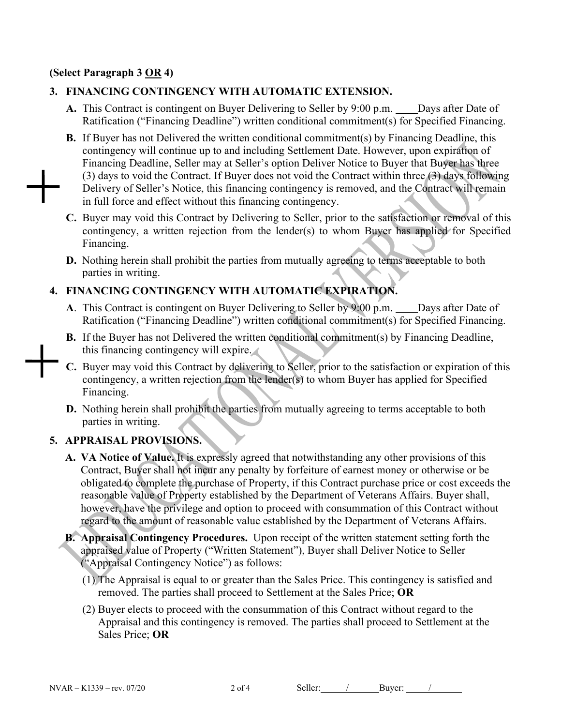### **(Select Paragraph 3 OR 4)**

## **3. FINANCING CONTINGENCY WITH AUTOMATIC EXTENSION.**

- A. This Contract is contingent on Buyer Delivering to Seller by 9:00 p.m. Days after Date of Ratification ("Financing Deadline") written conditional commitment(s) for Specified Financing.
- **B.** If Buyer has not Delivered the written conditional commitment(s) by Financing Deadline, this contingency will continue up to and including Settlement Date. However, upon expiration of Financing Deadline, Seller may at Seller's option Deliver Notice to Buyer that Buyer has three (3) days to void the Contract. If Buyer does not void the Contract within three (3) days following Delivery of Seller's Notice, this financing contingency is removed, and the Contract will remain in full force and effect without this financing contingency.
- **C.** Buyer may void this Contract by Delivering to Seller, prior to the satisfaction or removal of this contingency, a written rejection from the lender(s) to whom Buyer has applied for Specified Financing.
- **D.** Nothing herein shall prohibit the parties from mutually agreeing to terms acceptable to both parties in writing.

# **4. FINANCING CONTINGENCY WITH AUTOMATIC EXPIRATION.**

- **A**. This Contract is contingent on Buyer Delivering to Seller by 9:00 p.m. Days after Date of Ratification ("Financing Deadline") written conditional commitment(s) for Specified Financing.
- **B.** If the Buyer has not Delivered the written conditional commitment(s) by Financing Deadline, this financing contingency will expire.
- **C.** Buyer may void this Contract by delivering to Seller, prior to the satisfaction or expiration of this contingency, a written rejection from the lender(s) to whom Buyer has applied for Specified Financing.
- **D.** Nothing herein shall prohibit the parties from mutually agreeing to terms acceptable to both parties in writing.

### **5. APPRAISAL PROVISIONS.**

- **A. VA Notice of Value.** It is expressly agreed that notwithstanding any other provisions of this Contract, Buyer shall not incur any penalty by forfeiture of earnest money or otherwise or be obligated to complete the purchase of Property, if this Contract purchase price or cost exceeds the reasonable value of Property established by the Department of Veterans Affairs. Buyer shall, however, have the privilege and option to proceed with consummation of this Contract without regard to the amount of reasonable value established by the Department of Veterans Affairs.
- **B. Appraisal Contingency Procedures.** Upon receipt of the written statement setting forth the appraised value of Property ("Written Statement"), Buyer shall Deliver Notice to Seller ("Appraisal Contingency Notice") as follows:
	- (1) The Appraisal is equal to or greater than the Sales Price. This contingency is satisfied and removed. The parties shall proceed to Settlement at the Sales Price; **OR**
	- (2) Buyer elects to proceed with the consummation of this Contract without regard to the Appraisal and this contingency is removed. The parties shall proceed to Settlement at the Sales Price; **OR**

NVAR – K1339 – rev. 07/20 2 of 4 Seller: / Buyer: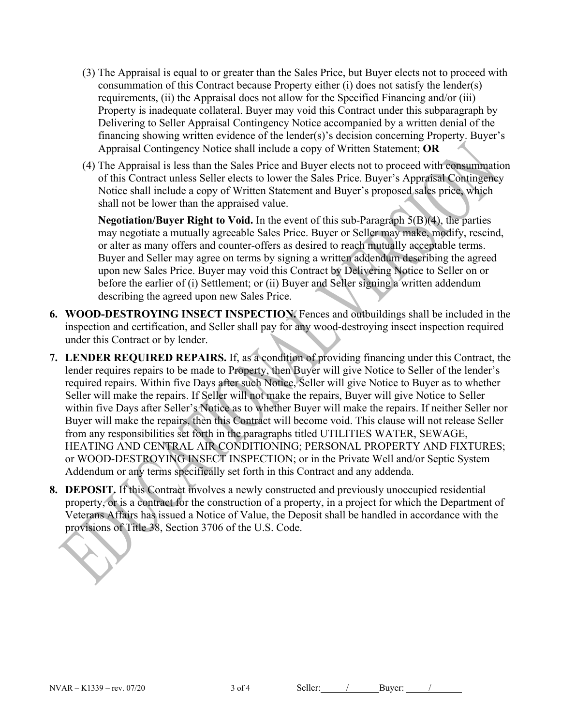- (3) The Appraisal is equal to or greater than the Sales Price, but Buyer elects not to proceed with consummation of this Contract because Property either (i) does not satisfy the lender(s) requirements, (ii) the Appraisal does not allow for the Specified Financing and/or (iii) Property is inadequate collateral. Buyer may void this Contract under this subparagraph by Delivering to Seller Appraisal Contingency Notice accompanied by a written denial of the financing showing written evidence of the lender(s)'s decision concerning Property. Buyer's Appraisal Contingency Notice shall include a copy of Written Statement; **OR**
- (4) The Appraisal is less than the Sales Price and Buyer elects not to proceed with consummation of this Contract unless Seller elects to lower the Sales Price. Buyer's Appraisal Contingency Notice shall include a copy of Written Statement and Buyer's proposed sales price, which shall not be lower than the appraised value.

**Negotiation/Buyer Right to Void.** In the event of this sub-Paragraph 5(B)(4), the parties may negotiate a mutually agreeable Sales Price. Buyer or Seller may make, modify, rescind, or alter as many offers and counter-offers as desired to reach mutually acceptable terms. Buyer and Seller may agree on terms by signing a written addendum describing the agreed upon new Sales Price. Buyer may void this Contract by Delivering Notice to Seller on or before the earlier of (i) Settlement; or (ii) Buyer and Seller signing a written addendum describing the agreed upon new Sales Price.

- **6. WOOD-DESTROYING INSECT INSPECTION.** Fences and outbuildings shall be included in the inspection and certification, and Seller shall pay for any wood-destroying insect inspection required under this Contract or by lender.
- **7. LENDER REQUIRED REPAIRS.** If, as a condition of providing financing under this Contract, the lender requires repairs to be made to Property, then Buyer will give Notice to Seller of the lender's required repairs. Within five Days after such Notice, Seller will give Notice to Buyer as to whether Seller will make the repairs. If Seller will not make the repairs, Buyer will give Notice to Seller within five Days after Seller's Notice as to whether Buyer will make the repairs. If neither Seller nor Buyer will make the repairs, then this Contract will become void. This clause will not release Seller from any responsibilities set forth in the paragraphs titled UTILITIES WATER, SEWAGE, HEATING AND CENTRAL AIR CONDITIONING; PERSONAL PROPERTY AND FIXTURES; or WOOD-DESTROYING INSECT INSPECTION; or in the Private Well and/or Septic System Addendum or any terms specifically set forth in this Contract and any addenda.
- **8. DEPOSIT.** If this Contract involves a newly constructed and previously unoccupied residential property, or is a contract for the construction of a property, in a project for which the Department of Veterans Affairs has issued a Notice of Value, the Deposit shall be handled in accordance with the provisions of Title 38, Section 3706 of the U.S. Code.